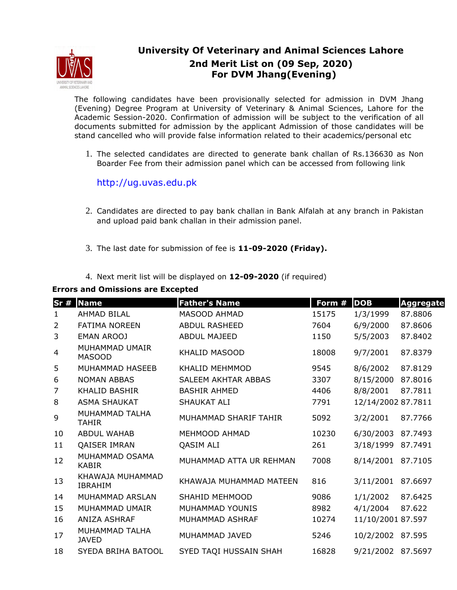

## **University Of Veterinary and Animal Sciences Lahore 2nd Merit List on (09 Sep, 2020) For DVM Jhang(Evening)**

The following candidates have been provisionally selected for admission in DVM Jhang (Evening) Degree Program at University of Veterinary & Animal Sciences, Lahore for the Academic Session-2020. Confirmation of admission will be subject to the verification of all documents submitted for admission by the applicant Admission of those candidates will be stand cancelled who will provide false information related to their academics/personal etc

1. The selected candidates are directed to generate bank challan of Rs.136630 as Non Boarder Fee from their admission panel which can be accessed from following link

http://ug.uvas.edu.pk

- 2. Candidates are directed to pay bank challan in Bank Alfalah at any branch in Pakistan and upload paid bank challan in their admission panel.
- 3. The last date for submission of fee is **11-09-2020 (Friday).**
- 4. Next merit list will be displayed on **12-09-2020** (if required)

## **Errors and Omissions are Excepted**

| Sr#            | <b>Name</b>                        | <b>Father's Name</b>    | Form # | <b>DOB</b>         | <b>Aggregate</b> |
|----------------|------------------------------------|-------------------------|--------|--------------------|------------------|
| 1              | <b>AHMAD BILAL</b>                 | MASOOD AHMAD            | 15175  | 1/3/1999           | 87.8806          |
| $\overline{2}$ | <b>FATIMA NOREEN</b>               | <b>ABDUL RASHEED</b>    | 7604   | 6/9/2000           | 87.8606          |
| 3              | <b>EMAN AROOJ</b>                  | <b>ABDUL MAJEED</b>     | 1150   | 5/5/2003           | 87.8402          |
| 4              | MUHAMMAD UMAIR<br><b>MASOOD</b>    | KHALID MASOOD           | 18008  | 9/7/2001           | 87.8379          |
| 5              | MUHAMMAD HASEEB                    | <b>KHALID MEHMMOD</b>   | 9545   | 8/6/2002           | 87.8129          |
| 6              | <b>NOMAN ABBAS</b>                 | SALEEM AKHTAR ABBAS     | 3307   | 8/15/2000          | 87.8016          |
| 7              | <b>KHALID BASHIR</b>               | <b>BASHIR AHMED</b>     | 4406   | 8/8/2001           | 87.7811          |
| 8              | <b>ASMA SHAUKAT</b>                | <b>SHAUKAT ALI</b>      | 7791   | 12/14/2002 87.7811 |                  |
| 9              | MUHAMMAD TALHA<br>TAHIR            | MUHAMMAD SHARIF TAHIR   | 5092   | 3/2/2001           | 87.7766          |
| 10             | <b>ABDUL WAHAB</b>                 | MEHMOOD AHMAD           | 10230  | 6/30/2003          | 87.7493          |
| 11             | <b>QAISER IMRAN</b>                | QASIM ALI               | 261    | 3/18/1999          | 87.7491          |
| 12             | MUHAMMAD OSAMA<br><b>KABIR</b>     | MUHAMMAD ATTA UR REHMAN | 7008   | 8/14/2001          | 87.7105          |
| 13             | KHAWAJA MUHAMMAD<br><b>IBRAHIM</b> | KHAWAJA MUHAMMAD MATEEN | 816    | 3/11/2001          | 87.6697          |
| 14             | MUHAMMAD ARSLAN                    | SHAHID MEHMOOD          | 9086   | 1/1/2002           | 87.6425          |
| 15             | MUHAMMAD UMAIR                     | MUHAMMAD YOUNIS         | 8982   | 4/1/2004           | 87.622           |
| 16             | <b>ANIZA ASHRAF</b>                | MUHAMMAD ASHRAF         | 10274  | 11/10/2001 87.597  |                  |
| 17             | MUHAMMAD TALHA<br><b>JAVED</b>     | MUHAMMAD JAVED          | 5246   | 10/2/2002          | 87.595           |
| 18             | SYEDA BRIHA BATOOL                 | SYED TAQI HUSSAIN SHAH  | 16828  | 9/21/2002 87.5697  |                  |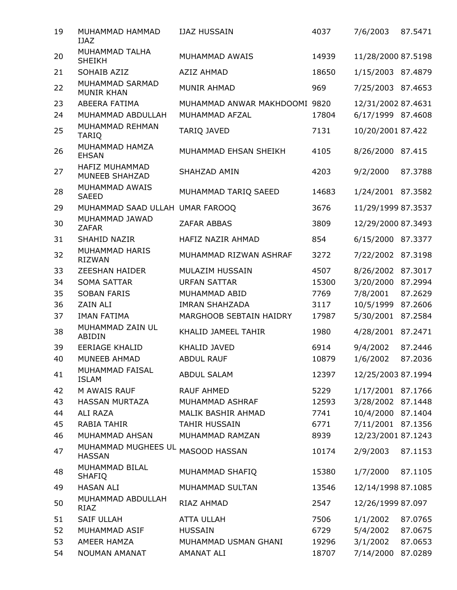| 19 | MUHAMMAD HAMMAD<br><b>IJAZ</b>       | <b>IJAZ HUSSAIN</b>            | 4037  | 7/6/2003           | 87.5471 |
|----|--------------------------------------|--------------------------------|-------|--------------------|---------|
| 20 | MUHAMMAD TALHA<br><b>SHEIKH</b>      | MUHAMMAD AWAIS                 | 14939 | 11/28/2000 87.5198 |         |
| 21 | SOHAIB AZIZ                          | <b>AZIZ AHMAD</b>              | 18650 | 1/15/2003 87.4879  |         |
| 22 | MUHAMMAD SARMAD<br><b>MUNIR KHAN</b> | <b>MUNIR AHMAD</b>             | 969   | 7/25/2003 87.4653  |         |
| 23 | ABEERA FATIMA                        | MUHAMMAD ANWAR MAKHDOOMI 9820  |       | 12/31/2002 87.4631 |         |
| 24 | MUHAMMAD ABDULLAH                    | MUHAMMAD AFZAL                 | 17804 | 6/17/1999 87.4608  |         |
| 25 | MUHAMMAD REHMAN<br><b>TARIQ</b>      | TARIQ JAVED                    | 7131  | 10/20/2001 87.422  |         |
| 26 | MUHAMMAD HAMZA<br><b>EHSAN</b>       | MUHAMMAD EHSAN SHEIKH          | 4105  | 8/26/2000          | 87.415  |
| 27 | HAFIZ MUHAMMAD<br>MUNEEB SHAHZAD     | SHAHZAD AMIN                   | 4203  | 9/2/2000           | 87.3788 |
| 28 | MUHAMMAD AWAIS<br><b>SAEED</b>       | MUHAMMAD TARIQ SAEED           | 14683 | 1/24/2001 87.3582  |         |
| 29 | MUHAMMAD SAAD ULLAH UMAR FAROOQ      |                                | 3676  | 11/29/1999 87.3537 |         |
| 30 | MUHAMMAD JAWAD<br><b>ZAFAR</b>       | <b>ZAFAR ABBAS</b>             | 3809  | 12/29/2000 87.3493 |         |
| 31 | SHAHID NAZIR                         | HAFIZ NAZIR AHMAD              | 854   | 6/15/2000 87.3377  |         |
| 32 | MUHAMMAD HARIS<br><b>RIZWAN</b>      | MUHAMMAD RIZWAN ASHRAF         | 3272  | 7/22/2002 87.3198  |         |
| 33 | <b>ZEESHAN HAIDER</b>                | MULAZIM HUSSAIN                | 4507  | 8/26/2002 87.3017  |         |
| 34 | <b>SOMA SATTAR</b>                   | <b>URFAN SATTAR</b>            | 15300 | 3/20/2000          | 87.2994 |
| 35 | <b>SOBAN FARIS</b>                   | MUHAMMAD ABID                  | 7769  | 7/8/2001           | 87.2629 |
| 36 | <b>ZAIN ALI</b>                      | <b>IMRAN SHAHZADA</b>          | 3117  | 10/5/1999          | 87.2606 |
| 37 | <b>IMAN FATIMA</b>                   | <b>MARGHOOB SEBTAIN HAIDRY</b> | 17987 | 5/30/2001          | 87.2584 |
| 38 | MUHAMMAD ZAIN UL<br>ABIDIN           | KHALID JAMEEL TAHIR            | 1980  | 4/28/2001          | 87.2471 |
| 39 | <b>EERIAGE KHALID</b>                | <b>KHALID JAVED</b>            | 6914  | 9/4/2002           | 87.2446 |
| 40 | MUNEEB AHMAD                         | <b>ABDUL RAUF</b>              | 10879 | 1/6/2002 87.2036   |         |
| 41 | MUHAMMAD FAISAL<br><b>ISLAM</b>      | <b>ABDUL SALAM</b>             | 12397 | 12/25/2003 87.1994 |         |
| 42 | M AWAIS RAUF                         | <b>RAUF AHMED</b>              | 5229  | 1/17/2001 87.1766  |         |
| 43 | <b>HASSAN MURTAZA</b>                | MUHAMMAD ASHRAF                | 12593 | 3/28/2002 87.1448  |         |
| 44 | ALI RAZA                             | MALIK BASHIR AHMAD             | 7741  | 10/4/2000 87.1404  |         |
| 45 | <b>RABIA TAHIR</b>                   | TAHIR HUSSAIN                  | 6771  | 7/11/2001 87.1356  |         |
| 46 | MUHAMMAD AHSAN                       | MUHAMMAD RAMZAN                | 8939  | 12/23/2001 87.1243 |         |
| 47 | MUHAMMAD MUGHEES UL<br><b>HASSAN</b> | MASOOD HASSAN                  | 10174 | 2/9/2003           | 87.1153 |
| 48 | MUHAMMAD BILAL<br><b>SHAFIQ</b>      | MUHAMMAD SHAFIQ                | 15380 | 1/7/2000           | 87.1105 |
| 49 | <b>HASAN ALI</b>                     | MUHAMMAD SULTAN                | 13546 | 12/14/1998 87.1085 |         |
| 50 | MUHAMMAD ABDULLAH<br>RIAZ            | RIAZ AHMAD                     | 2547  | 12/26/1999 87.097  |         |
| 51 | <b>SAIF ULLAH</b>                    | <b>ATTA ULLAH</b>              | 7506  | 1/1/2002           | 87.0765 |
| 52 | MUHAMMAD ASIF                        | <b>HUSSAIN</b>                 | 6729  | 5/4/2002           | 87.0675 |
| 53 | AMEER HAMZA                          | MUHAMMAD USMAN GHANI           | 19296 | 3/1/2002           | 87.0653 |
| 54 | NOUMAN AMANAT                        | AMANAT ALI                     | 18707 | 7/14/2000          | 87.0289 |